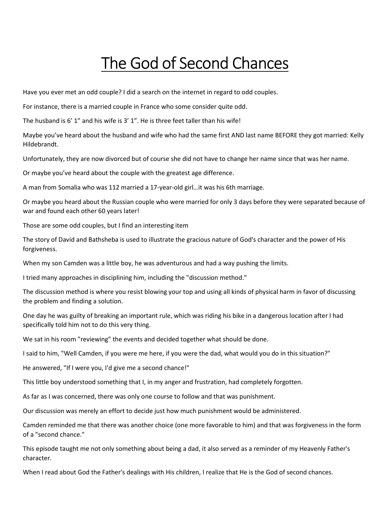# The God of Second Chances

Have you ever met an odd couple? I did a search on the internet in regard to odd couples.

For instance, there is a married couple in France who some consider quite odd.

The husband is 6' 1" and his wife is 3' 1". He is three feet taller than his wife!

Maybe you've heard about the husband and wife who had the same first AND last name BEFORE they got married: Kelly Hildebrandt.

Unfortunately, they are now divorced but of course she did not have to change her name since that was her name.

Or maybe you've heard about the couple with the greatest age difference.

A man from Somalia who was 112 married a 17-year-old girl…it was his 6th marriage.

Or maybe you heard about the Russian couple who were married for only 3 days before they were separated because of war and found each other 60 years later!

Those are some odd couples, but I find an interesting item

The story of David and Bathsheba is used to illustrate the gracious nature of God's character and the power of His forgiveness.

When my son Camden was a little boy, he was adventurous and had a way pushing the limits.

I tried many approaches in disciplining him, including the "discussion method."

The discussion method is where you resist blowing your top and using all kinds of physical harm in favor of discussing the problem and finding a solution.

One day he was guilty of breaking an important rule, which was riding his bike in a dangerous location after I had specifically told him not to do this very thing.

We sat in his room "reviewing" the events and decided together what should be done.

I said to him, "Well Camden, if you were me here, if you were the dad, what would you do in this situation?"

He answered, "If I were you, I'd give me a second chance!"

This little boy understood something that I, in my anger and frustration, had completely forgotten.

As far as I was concerned, there was only one course to follow and that was punishment.

Our discussion was merely an effort to decide just how much punishment would be administered.

Camden reminded me that there was another choice (one more favorable to him) and that was forgiveness in the form of a "second chance."

This episode taught me not only something about being a dad, it also served as a reminder of my Heavenly Father's character.

When I read about God the Father's dealings with His children, I realize that He is the God of second chances.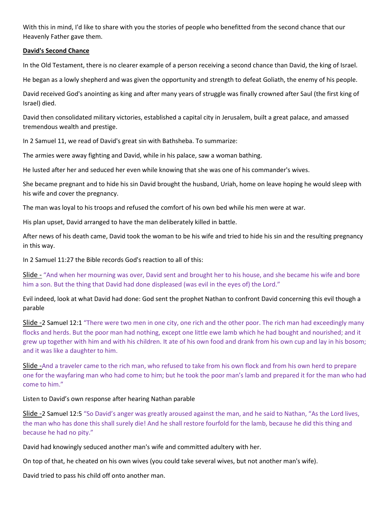With this in mind, I'd like to share with you the stories of people who benefitted from the second chance that our Heavenly Father gave them.

### David's Second Chance

In the Old Testament, there is no clearer example of a person receiving a second chance than David, the king of Israel.

He began as a lowly shepherd and was given the opportunity and strength to defeat Goliath, the enemy of his people.

David received God's anointing as king and after many years of struggle was finally crowned after Saul (the first king of Israel) died.

David then consolidated military victories, established a capital city in Jerusalem, built a great palace, and amassed tremendous wealth and prestige.

In 2 Samuel 11, we read of David's great sin with Bathsheba. To summarize:

The armies were away fighting and David, while in his palace, saw a woman bathing.

He lusted after her and seduced her even while knowing that she was one of his commander's wives.

She became pregnant and to hide his sin David brought the husband, Uriah, home on leave hoping he would sleep with his wife and cover the pregnancy.

The man was loyal to his troops and refused the comfort of his own bed while his men were at war.

His plan upset, David arranged to have the man deliberately killed in battle.

After news of his death came, David took the woman to be his wife and tried to hide his sin and the resulting pregnancy in this way.

In 2 Samuel 11:27 the Bible records God's reaction to all of this:

Slide - "And when her mourning was over, David sent and brought her to his house, and she became his wife and bore him a son. But the thing that David had done displeased (was evil in the eyes of) the Lord."

Evil indeed, look at what David had done: God sent the prophet Nathan to confront David concerning this evil though a parable

Slide -2 Samuel 12:1 "There were two men in one city, one rich and the other poor. The rich man had exceedingly many flocks and herds. But the poor man had nothing, except one little ewe lamb which he had bought and nourished; and it grew up together with him and with his children. It ate of his own food and drank from his own cup and lay in his bosom; and it was like a daughter to him.

Slide -And a traveler came to the rich man, who refused to take from his own flock and from his own herd to prepare one for the wayfaring man who had come to him; but he took the poor man's lamb and prepared it for the man who had come to him."

## Listen to David's own response after hearing Nathan parable

Slide -2 Samuel 12:5 "So David's anger was greatly aroused against the man, and he said to Nathan, "As the Lord lives, the man who has done this shall surely die! And he shall restore fourfold for the lamb, because he did this thing and because he had no pity."

David had knowingly seduced another man's wife and committed adultery with her.

On top of that, he cheated on his own wives (you could take several wives, but not another man's wife).

David tried to pass his child off onto another man.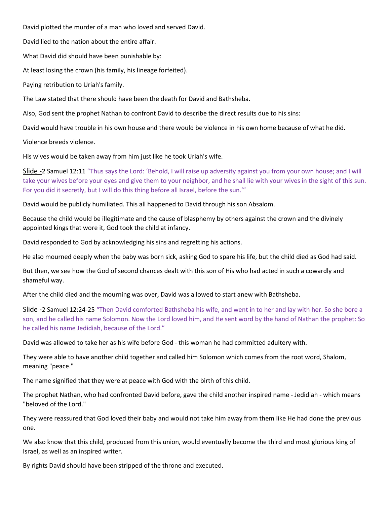David plotted the murder of a man who loved and served David.

David lied to the nation about the entire affair.

What David did should have been punishable by:

At least losing the crown (his family, his lineage forfeited).

Paying retribution to Uriah's family.

The Law stated that there should have been the death for David and Bathsheba.

Also, God sent the prophet Nathan to confront David to describe the direct results due to his sins:

David would have trouble in his own house and there would be violence in his own home because of what he did.

Violence breeds violence.

His wives would be taken away from him just like he took Uriah's wife.

Slide -2 Samuel 12:11 "Thus says the Lord: 'Behold, I will raise up adversity against you from your own house; and I will take your wives before your eyes and give them to your neighbor, and he shall lie with your wives in the sight of this sun. For you did it secretly, but I will do this thing before all Israel, before the sun.'"

David would be publicly humiliated. This all happened to David through his son Absalom.

Because the child would be illegitimate and the cause of blasphemy by others against the crown and the divinely appointed kings that wore it, God took the child at infancy.

David responded to God by acknowledging his sins and regretting his actions.

He also mourned deeply when the baby was born sick, asking God to spare his life, but the child died as God had said.

But then, we see how the God of second chances dealt with this son of His who had acted in such a cowardly and shameful way.

After the child died and the mourning was over, David was allowed to start anew with Bathsheba.

Slide -2 Samuel 12:24-25 "Then David comforted Bathsheba his wife, and went in to her and lay with her. So she bore a son, and he called his name Solomon. Now the Lord loved him, and He sent word by the hand of Nathan the prophet: So he called his name Jedidiah, because of the Lord."

David was allowed to take her as his wife before God - this woman he had committed adultery with.

They were able to have another child together and called him Solomon which comes from the root word, Shalom, meaning "peace."

The name signified that they were at peace with God with the birth of this child.

The prophet Nathan, who had confronted David before, gave the child another inspired name - Jedidiah - which means "beloved of the Lord."

They were reassured that God loved their baby and would not take him away from them like He had done the previous one.

We also know that this child, produced from this union, would eventually become the third and most glorious king of Israel, as well as an inspired writer.

By rights David should have been stripped of the throne and executed.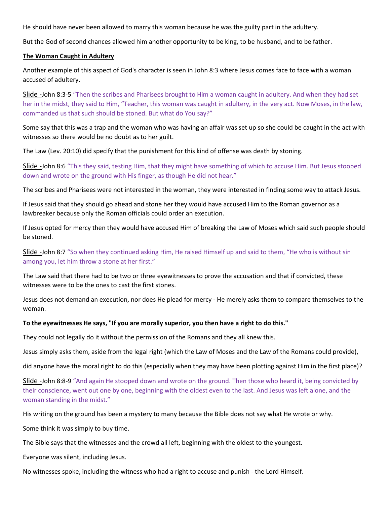He should have never been allowed to marry this woman because he was the guilty part in the adultery.

But the God of second chances allowed him another opportunity to be king, to be husband, and to be father.

#### The Woman Caught in Adultery

Another example of this aspect of God's character is seen in John 8:3 where Jesus comes face to face with a woman accused of adultery.

Slide -John 8:3-5 "Then the scribes and Pharisees brought to Him a woman caught in adultery. And when they had set her in the midst, they said to Him, "Teacher, this woman was caught in adultery, in the very act. Now Moses, in the law, commanded us that such should be stoned. But what do You say?"

Some say that this was a trap and the woman who was having an affair was set up so she could be caught in the act with witnesses so there would be no doubt as to her guilt.

The Law (Lev. 20:10) did specify that the punishment for this kind of offense was death by stoning.

Slide -John 8:6 "This they said, testing Him, that they might have something of which to accuse Him. But Jesus stooped down and wrote on the ground with His finger, as though He did not hear."

The scribes and Pharisees were not interested in the woman, they were interested in finding some way to attack Jesus.

If Jesus said that they should go ahead and stone her they would have accused Him to the Roman governor as a lawbreaker because only the Roman officials could order an execution.

If Jesus opted for mercy then they would have accused Him of breaking the Law of Moses which said such people should be stoned.

Slide -John 8:7 "So when they continued asking Him, He raised Himself up and said to them, "He who is without sin among you, let him throw a stone at her first."

The Law said that there had to be two or three eyewitnesses to prove the accusation and that if convicted, these witnesses were to be the ones to cast the first stones.

Jesus does not demand an execution, nor does He plead for mercy - He merely asks them to compare themselves to the woman.

## To the eyewitnesses He says, "If you are morally superior, you then have a right to do this."

They could not legally do it without the permission of the Romans and they all knew this.

Jesus simply asks them, aside from the legal right (which the Law of Moses and the Law of the Romans could provide),

did anyone have the moral right to do this (especially when they may have been plotting against Him in the first place)?

Slide -John 8:8-9 "And again He stooped down and wrote on the ground. Then those who heard it, being convicted by their conscience, went out one by one, beginning with the oldest even to the last. And Jesus was left alone, and the woman standing in the midst."

His writing on the ground has been a mystery to many because the Bible does not say what He wrote or why.

Some think it was simply to buy time.

The Bible says that the witnesses and the crowd all left, beginning with the oldest to the youngest.

Everyone was silent, including Jesus.

No witnesses spoke, including the witness who had a right to accuse and punish - the Lord Himself.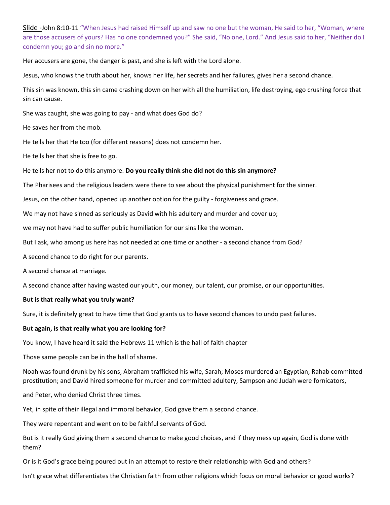Slide -John 8:10-11 "When Jesus had raised Himself up and saw no one but the woman, He said to her, "Woman, where are those accusers of yours? Has no one condemned you?" She said, "No one, Lord." And Jesus said to her, "Neither do I condemn you; go and sin no more."

Her accusers are gone, the danger is past, and she is left with the Lord alone.

Jesus, who knows the truth about her, knows her life, her secrets and her failures, gives her a second chance.

This sin was known, this sin came crashing down on her with all the humiliation, life destroying, ego crushing force that sin can cause.

She was caught, she was going to pay - and what does God do?

He saves her from the mob.

He tells her that He too (for different reasons) does not condemn her.

He tells her that she is free to go.

He tells her not to do this anymore. Do you really think she did not do this sin anymore?

The Pharisees and the religious leaders were there to see about the physical punishment for the sinner.

Jesus, on the other hand, opened up another option for the guilty - forgiveness and grace.

We may not have sinned as seriously as David with his adultery and murder and cover up;

we may not have had to suffer public humiliation for our sins like the woman.

But I ask, who among us here has not needed at one time or another - a second chance from God?

A second chance to do right for our parents.

A second chance at marriage.

A second chance after having wasted our youth, our money, our talent, our promise, or our opportunities.

## But is that really what you truly want?

Sure, it is definitely great to have time that God grants us to have second chances to undo past failures.

## But again, is that really what you are looking for?

You know, I have heard it said the Hebrews 11 which is the hall of faith chapter

Those same people can be in the hall of shame.

Noah was found drunk by his sons; Abraham trafficked his wife, Sarah; Moses murdered an Egyptian; Rahab committed prostitution; and David hired someone for murder and committed adultery, Sampson and Judah were fornicators,

and Peter, who denied Christ three times.

Yet, in spite of their illegal and immoral behavior, God gave them a second chance.

They were repentant and went on to be faithful servants of God.

But is it really God giving them a second chance to make good choices, and if they mess up again, God is done with them?

Or is it God's grace being poured out in an attempt to restore their relationship with God and others?

Isn't grace what differentiates the Christian faith from other religions which focus on moral behavior or good works?